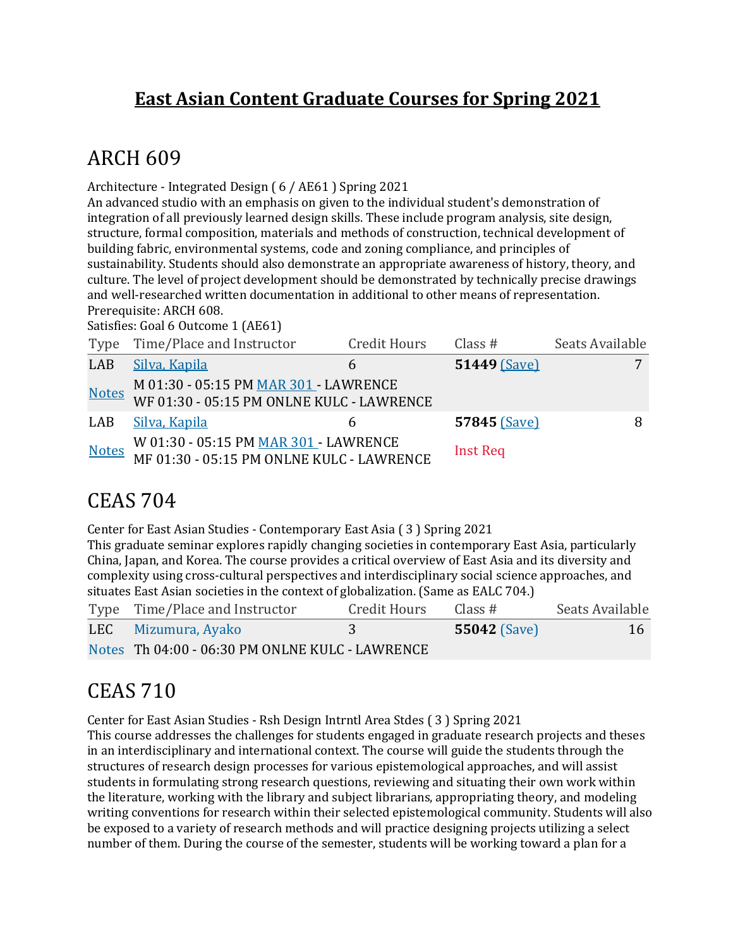#### **East Asian Content Graduate Courses for Spring 2021**

## **ARCH 609**

Architecture - Integrated Design (6 / AE61 ) Spring 2021

An advanced studio with an emphasis on given to the individual student's demonstration of integration of all previously learned design skills. These include program analysis, site design, structure, formal composition, materials and methods of construction, technical development of building fabric, environmental systems, code and zoning compliance, and principles of sustainability. Students should also demonstrate an appropriate awareness of history, theory, and culture. The level of project development should be demonstrated by technically precise drawings and well-researched written documentation in additional to other means of representation. Prerequisite: ARCH 608.

Satisfies: Goal 6 Outcome 1 (AE61)

|              | Type Time/Place and Instructor                                                     | <b>Credit Hours</b> | Class $#$       | Seats Available |
|--------------|------------------------------------------------------------------------------------|---------------------|-----------------|-----------------|
| LAB          | Silva, Kapila                                                                      |                     | 51449 (Save)    |                 |
| <b>Notes</b> | M 01:30 - 05:15 PM MAR 301 - LAWRENCE<br>WF 01:30 - 05:15 PM ONLNE KULC - LAWRENCE |                     |                 |                 |
| LAB          | Silva, Kapila                                                                      | h                   | 57845 (Save)    |                 |
| <b>Notes</b> | W 01:30 - 05:15 PM MAR 301 - LAWRENCE<br>MF 01:30 - 05:15 PM ONLNE KULC - LAWRENCE |                     | <b>Inst Req</b> |                 |

### **CEAS 704**

Center for East Asian Studies - Contemporary East Asia (3) Spring 2021 This graduate seminar explores rapidly changing societies in contemporary East Asia, particularly China, Japan, and Korea. The course provides a critical overview of East Asia and its diversity and complexity using cross-cultural perspectives and interdisciplinary social science approaches, and situates East Asian societies in the context of globalization. (Same as EALC 704.)

| Type Time/Place and Instructor                  | Credit Hours | Class#              | Seats Available |
|-------------------------------------------------|--------------|---------------------|-----------------|
| LEC Mizumura, Ayako                             |              | <b>55042 (Save)</b> | 16              |
| Notes Th 04:00 - 06:30 PM ONLNE KULC - LAWRENCE |              |                     |                 |

## **CEAS 710**

Center for East Asian Studies - Rsh Design Intrntl Area Stdes (3) Spring 2021

This course addresses the challenges for students engaged in graduate research projects and theses in an interdisciplinary and international context. The course will guide the students through the structures of research design processes for various epistemological approaches, and will assist students in formulating strong research questions, reviewing and situating their own work within the literature, working with the library and subject librarians, appropriating theory, and modeling writing conventions for research within their selected epistemological community. Students will also be exposed to a variety of research methods and will practice designing projects utilizing a select number of them. During the course of the semester, students will be working toward a plan for a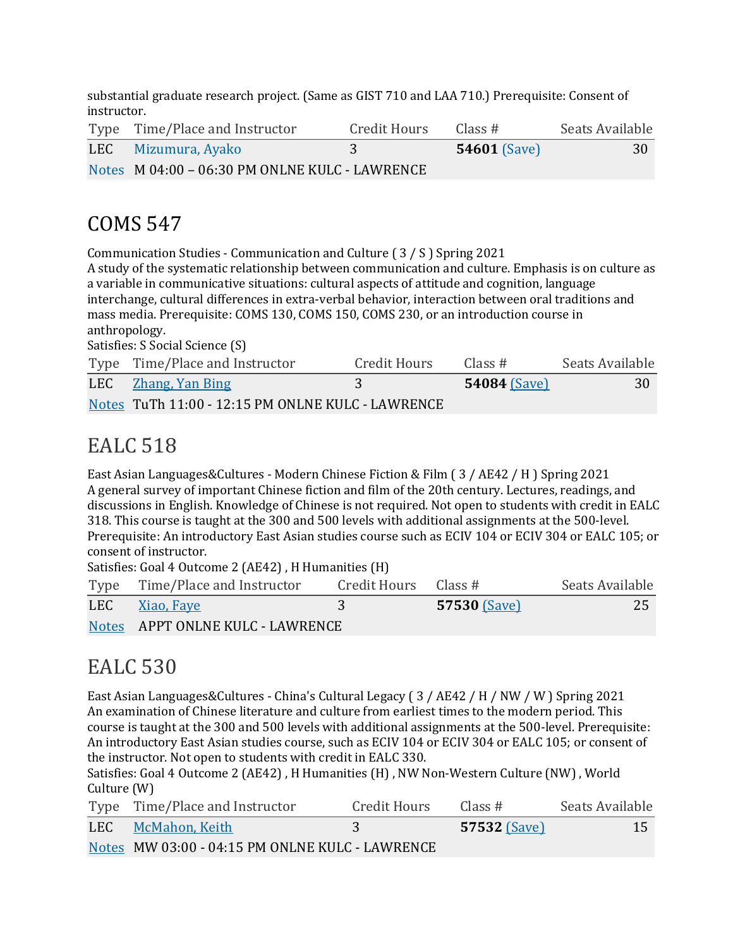substantial graduate research project. (Same as GIST 710 and LAA 710.) Prerequisite: Consent of instructor.

| Type Time/Place and Instructor                 | Credit Hours | Class #             | Seats Available |
|------------------------------------------------|--------------|---------------------|-----------------|
| LEC Mizumura, Ayako                            |              | <b>54601</b> (Save) | 30              |
| Notes M 04:00 - 06:30 PM ONLNE KULC - LAWRENCE |              |                     |                 |

## COMS 547

Communication Studies - Communication and Culture (3 / S ) Spring 2021

A study of the systematic relationship between communication and culture. Emphasis is on culture as a variable in communicative situations: cultural aspects of attitude and cognition, language interchange, cultural differences in extra-verbal behavior, interaction between oral traditions and mass media. Prerequisite: COMS 130, COMS 150, COMS 230, or an introduction course in anthropology. Satisfies: S Social Science (S)

Type Time/Place and Instructor Credit Hours Class # Seats Available LEC Zhang, Yan Bing 3 3 54084 (Save) 30 Notes TuTh 11:00 - 12:15 PM ONLNE KULC - LAWRENCE

## EALC 518

East Asian Languages&Cultures - Modern Chinese Fiction & Film (3 / AE42 / H) Spring 2021 A general survey of important Chinese fiction and film of the 20th century. Lectures, readings, and discussions in English. Knowledge of Chinese is not required. Not open to students with credit in EALC 318. This course is taught at the 300 and 500 levels with additional assignments at the 500-level. Prerequisite: An introductory East Asian studies course such as ECIV 104 or ECIV 304 or EALC 105; or consent of instructor.

Satisfies: Goal 4 Outcome 2 (AE42), H Humanities (H)

| Type Time/Place and Instructor   | Credit Hours $\;$ Class # |              | Seats Available |
|----------------------------------|---------------------------|--------------|-----------------|
| LEC Xiao, Faye                   |                           | 57530 (Save) | 25              |
| Notes APPT ONLNE KULC - LAWRENCE |                           |              |                 |

### EALC 530

East Asian Languages&Cultures - China's Cultural Legacy ( $3$  / AE42 / H / NW / W ) Spring 2021 An examination of Chinese literature and culture from earliest times to the modern period. This course is taught at the 300 and 500 levels with additional assignments at the 500-level. Prerequisite: An introductory East Asian studies course, such as ECIV 104 or ECIV 304 or EALC 105; or consent of the instructor. Not open to students with credit in EALC 330.

Satisfies: Goal 4 Outcome 2 (AE42), H Humanities (H), NW Non-Western Culture (NW), World Culture (W)

| Type Time/Place and Instructor                  | Credit Hours | Class #             | Seats Available |
|-------------------------------------------------|--------------|---------------------|-----------------|
| LEC McMahon, Keith                              |              | <b>57532 (Save)</b> | 15              |
| Notes MW 03:00 - 04:15 PM ONLNE KULC - LAWRENCE |              |                     |                 |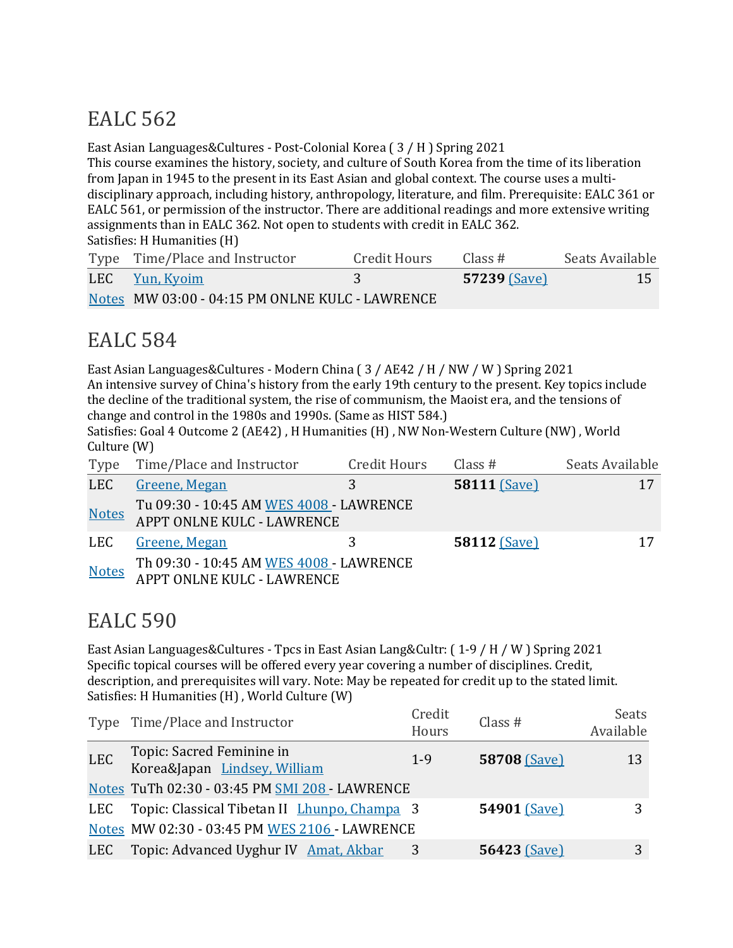# **EALC** 562

East Asian Languages&Cultures - Post-Colonial Korea  $(3/H)$  Spring 2021

This course examines the history, society, and culture of South Korea from the time of its liberation from Japan in 1945 to the present in its East Asian and global context. The course uses a multidisciplinary approach, including history, anthropology, literature, and film. Prerequisite: EALC 361 or EALC 561, or permission of the instructor. There are additional readings and more extensive writing assignments than in EALC 362. Not open to students with credit in EALC 362. Satisfies: H Humanities (H)

| Type Time/Place and Instructor                  | Credit Hours | Class #             | Seats Available |
|-------------------------------------------------|--------------|---------------------|-----------------|
| LEC Yun, Kyoim                                  |              | <b>57239 (Save)</b> | 15 <sup>°</sup> |
| Notes MW 03:00 - 04:15 PM ONLNE KULC - LAWRENCE |              |                     |                 |

## EALC 584

East Asian Languages&Cultures - Modern China (3 / AE42 / H / NW / W ) Spring 2021 An intensive survey of China's history from the early 19th century to the present. Key topics include the decline of the traditional system, the rise of communism, the Maoist era, and the tensions of change and control in the 1980s and 1990s. (Same as HIST 584.)

Satisfies: Goal 4 Outcome 2 (AE42), H Humanities (H), NW Non-Western Culture (NW), World Culture  $(W)$ 

| Type         | Time/Place and Instructor                                             | <b>Credit Hours</b> | Class $#$           | Seats Available |
|--------------|-----------------------------------------------------------------------|---------------------|---------------------|-----------------|
| <b>LEC</b>   | Greene, Megan                                                         | 3                   | 58111 (Save)        |                 |
| <b>Notes</b> | Tu 09:30 - 10:45 AM WES 4008 - LAWRENCE<br>APPT ONLNE KULC - LAWRENCE |                     |                     |                 |
| LEC          | Greene, Megan                                                         |                     | <b>58112 (Save)</b> | 17              |
| <b>Notes</b> | Th 09:30 - 10:45 AM WES 4008 - LAWRENCE<br>APPT ONLNE KULC - LAWRENCE |                     |                     |                 |

## EALC 590

East Asian Languages&Cultures - Tpcs in East Asian Lang&Cultr:  $(1-9/H/W)$  Spring 2021 Specific topical courses will be offered every year covering a number of disciplines. Credit, description, and prerequisites will vary. Note: May be repeated for credit up to the stated limit. Satisfies: H Humanities (H), World Culture (W)

|            | Type Time/Place and Instructor                            | Credit<br>Hours | Class $#$           | Seats<br>Available |
|------------|-----------------------------------------------------------|-----------------|---------------------|--------------------|
| <b>LEC</b> | Topic: Sacred Feminine in<br>Korea&Japan Lindsey, William | $1 - 9$         | 58708 (Save)        | 13                 |
|            | Notes TuTh 02:30 - 03:45 PM SMI 208 - LAWRENCE            |                 |                     |                    |
| LEC        | Topic: Classical Tibetan II <i>Lhunpo, Champa</i> 3       |                 | 54901 (Save)        |                    |
|            | Notes MW 02:30 - 03:45 PM WES 2106 - LAWRENCE             |                 |                     |                    |
| LEC        | Topic: Advanced Uyghur IV Amat, Akbar                     |                 | <b>56423 (Save)</b> | 3                  |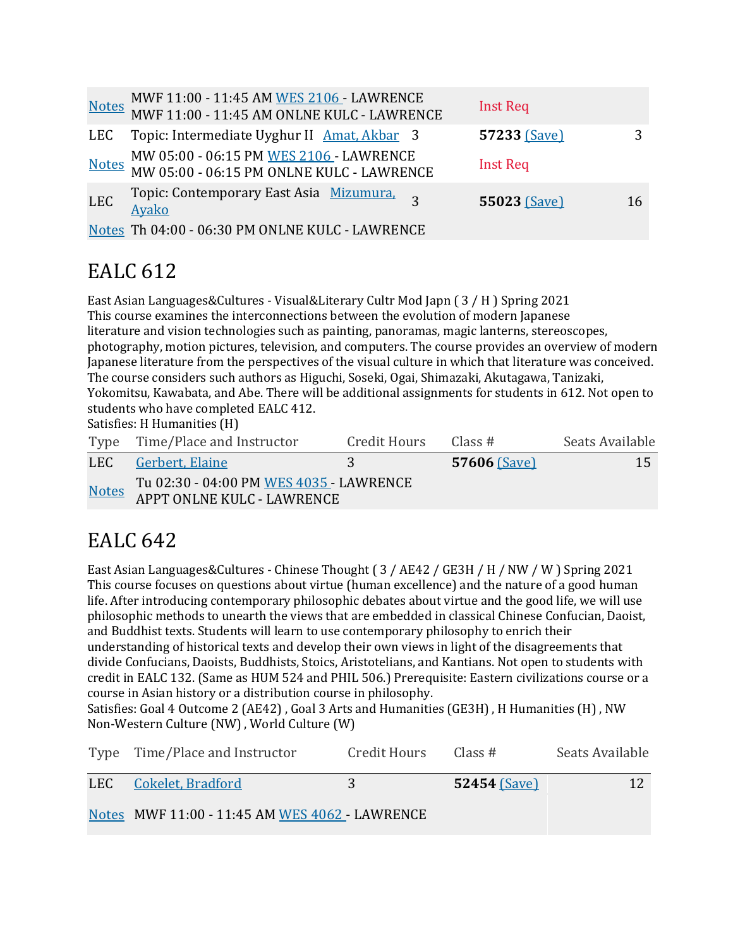|            | MWF 11:00 - 11:45 AM WES 2106 - LAWRENCE<br>MWF 11:00 - 11:45 AM ONLNE KULC - LAWRENCE |                | <b>Inst Req</b> |    |
|------------|----------------------------------------------------------------------------------------|----------------|-----------------|----|
|            | LEC Topic: Intermediate Uyghur II Amat, Akbar 3                                        |                | 57233 (Save)    | 3  |
|            | MW 05:00 - 06:15 PM WES 2106 - LAWRENCE<br>MW 05:00 - 06:15 PM ONLNE KULC - LAWRENCE   |                | <b>Inst Req</b> |    |
| <b>LEC</b> | Topic: Contemporary East Asia Mizumura,<br>Ayako                                       | $\overline{z}$ | 55023 (Save)    | 16 |
|            | Notes Th 04:00 - 06:30 PM ONLNE KULC - LAWRENCE                                        |                |                 |    |

# EALC 612

East Asian Languages&Cultures - Visual&Literary Cultr Mod Japn  $(3/H)$  Spring 2021 This course examines the interconnections between the evolution of modern Japanese literature and vision technologies such as painting, panoramas, magic lanterns, stereoscopes, photography, motion pictures, television, and computers. The course provides an overview of modern Japanese literature from the perspectives of the visual culture in which that literature was conceived. The course considers such authors as Higuchi, Soseki, Ogai, Shimazaki, Akutagawa, Tanizaki, Yokomitsu, Kawabata, and Abe. There will be additional assignments for students in 612. Not open to students who have completed EALC 412.

Satisfies: H Humanities (H)

|              | Type Time/Place and Instructor                                        | Credit Hours | Class #      | Seats Available |
|--------------|-----------------------------------------------------------------------|--------------|--------------|-----------------|
|              | LEC Gerbert, Elaine                                                   |              | 57606 (Save) | 15              |
| <b>Notes</b> | Tu 02:30 - 04:00 PM WES 4035 - LAWRENCE<br>APPT ONLNE KULC - LAWRENCE |              |              |                 |

# EALC 642

East Asian Languages&Cultures - Chinese Thought ( $3$  / AE42 / GE3H / H / NW / W ) Spring 2021 This course focuses on questions about virtue (human excellence) and the nature of a good human life. After introducing contemporary philosophic debates about virtue and the good life, we will use philosophic methods to unearth the views that are embedded in classical Chinese Confucian, Daoist, and Buddhist texts. Students will learn to use contemporary philosophy to enrich their understanding of historical texts and develop their own views in light of the disagreements that divide Confucians, Daoists, Buddhists, Stoics, Aristotelians, and Kantians. Not open to students with credit in EALC 132. (Same as HUM 524 and PHIL 506.) Prerequisite: Eastern civilizations course or a course in Asian history or a distribution course in philosophy.

Satisfies: Goal 4 Outcome 2 (AE42), Goal 3 Arts and Humanities (GE3H), H Humanities (H), NW Non-Western Culture (NW), World Culture (W)

| Type Time/Place and Instructor                 | Credit Hours | Class #             | Seats Available |
|------------------------------------------------|--------------|---------------------|-----------------|
| LEC Cokelet, Bradford                          |              | <b>52454 (Save)</b> | 12              |
| Notes MWF 11:00 - 11:45 AM WES 4062 - LAWRENCE |              |                     |                 |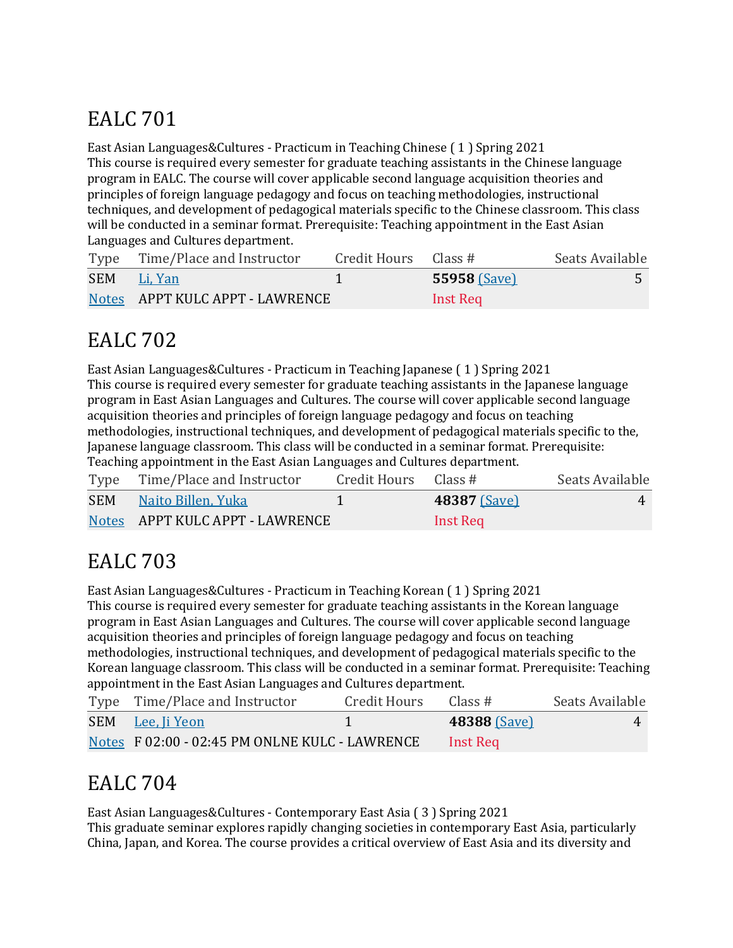# **EALC** 701

East Asian Languages&Cultures - Practicum in Teaching Chinese (1) Spring 2021 This course is required every semester for graduate teaching assistants in the Chinese language program in EALC. The course will cover applicable second language acquisition theories and principles of foreign language pedagogy and focus on teaching methodologies, instructional techniques, and development of pedagogical materials specific to the Chinese classroom. This class will be conducted in a seminar format. Prerequisite: Teaching appointment in the East Asian Languages and Cultures department.

| Type Time/Place and Instructor  | Credit Hours Class # |                     | Seats Available |
|---------------------------------|----------------------|---------------------|-----------------|
| SEM Li, Yan                     |                      | <b>55958 (Save)</b> |                 |
| Notes APPT KULC APPT - LAWRENCE |                      | Inst Req            |                 |

# EALC 702

East Asian Languages&Cultures - Practicum in Teaching Japanese (1) Spring 2021 This course is required every semester for graduate teaching assistants in the Japanese language program in East Asian Languages and Cultures. The course will cover applicable second language acquisition theories and principles of foreign language pedagogy and focus on teaching methodologies, instructional techniques, and development of pedagogical materials specific to the, Japanese language classroom. This class will be conducted in a seminar format. Prerequisite: Teaching appointment in the East Asian Languages and Cultures department.

|            | Type Time/Place and Instructor  | Credit Hours Class # |                     | Seats Available    |
|------------|---------------------------------|----------------------|---------------------|--------------------|
| <b>SEM</b> | Naito Billen, Yuka              |                      | <b>48387 (Save)</b> | $\mathbf{\Lambda}$ |
|            | Notes APPT KULC APPT - LAWRENCE |                      | Inst Rea            |                    |

# EALC 703

East Asian Languages&Cultures - Practicum in Teaching Korean (1) Spring 2021 This course is required every semester for graduate teaching assistants in the Korean language program in East Asian Languages and Cultures. The course will cover applicable second language acquisition theories and principles of foreign language pedagogy and focus on teaching methodologies, instructional techniques, and development of pedagogical materials specific to the Korean language classroom. This class will be conducted in a seminar format. Prerequisite: Teaching appointment in the East Asian Languages and Cultures department.

| Type Time/Place and Instructor                 | Credit Hours | Class #      | Seats Available |
|------------------------------------------------|--------------|--------------|-----------------|
| SEM Lee, Ii Yeon                               |              | 48388 (Save) |                 |
| Notes F 02:00 - 02:45 PM ONLNE KULC - LAWRENCE |              | Inst Reg     |                 |

# EALC 704

East Asian Languages&Cultures - Contemporary East Asia (3) Spring 2021 This graduate seminar explores rapidly changing societies in contemporary East Asia, particularly China, Japan, and Korea. The course provides a critical overview of East Asia and its diversity and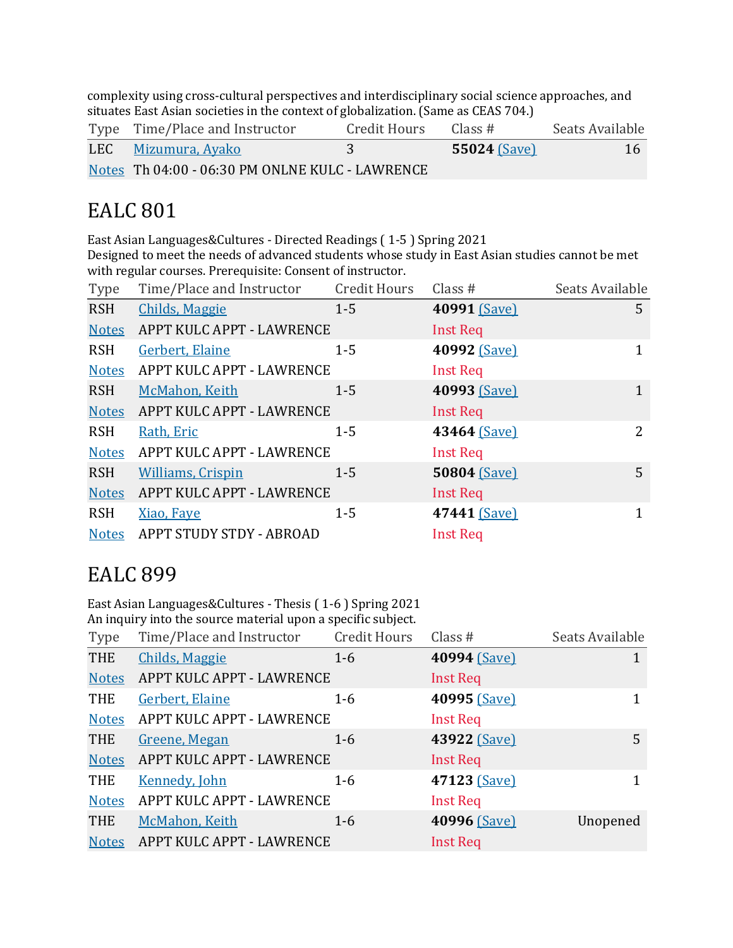complexity using cross-cultural perspectives and interdisciplinary social science approaches, and situates East Asian societies in the context of globalization. (Same as CEAS 704.)

| Type Time/Place and Instructor                  | Credit Hours | Class#              | Seats Available |
|-------------------------------------------------|--------------|---------------------|-----------------|
| LEC Mizumura, Ayako                             |              | <b>55024 (Save)</b> | <b>16</b>       |
| Notes Th 04:00 - 06:30 PM ONLNE KULC - LAWRENCE |              |                     |                 |

## **EALC** 801

East Asian Languages&Cultures - Directed Readings (1-5) Spring 2021 Designed to meet the needs of advanced students whose study in East Asian studies cannot be met with regular courses. Prerequisite: Consent of instructor.

| Type         | Time/Place and Instructor | <b>Credit Hours</b> | Class $#$       | Seats Available |
|--------------|---------------------------|---------------------|-----------------|-----------------|
| <b>RSH</b>   | <b>Childs, Maggie</b>     | $1 - 5$             | 40991 (Save)    | 5               |
| <b>Notes</b> | APPT KULC APPT - LAWRENCE |                     | <b>Inst Req</b> |                 |
| <b>RSH</b>   | Gerbert, Elaine           | $1 - 5$             | 40992 (Save)    | $\mathbf{1}$    |
| <b>Notes</b> | APPT KULC APPT - LAWRENCE |                     | <b>Inst Req</b> |                 |
| <b>RSH</b>   | McMahon, Keith            | $1 - 5$             | 40993 (Save)    | 1               |
| <b>Notes</b> | APPT KULC APPT - LAWRENCE |                     | <b>Inst Req</b> |                 |
| <b>RSH</b>   | Rath, Eric                | $1 - 5$             | 43464 (Save)    | 2               |
| <b>Notes</b> | APPT KULC APPT - LAWRENCE |                     | <b>Inst Req</b> |                 |
| <b>RSH</b>   | <b>Williams, Crispin</b>  | $1 - 5$             | 50804 (Save)    | 5               |
| <b>Notes</b> | APPT KULC APPT - LAWRENCE |                     | Inst Req        |                 |
| <b>RSH</b>   | Xiao, Faye                | $1 - 5$             | 47441 (Save)    | $\mathbf{1}$    |
| <b>Notes</b> | APPT STUDY STDY - ABROAD  |                     | <b>Inst Req</b> |                 |

### **EALC** 899

East Asian Languages&Cultures - Thesis (1-6) Spring 2021 An inquiry into the source material upon a specific subject.

| Type         | Time/Place and Instructor | Credit Hours | Class $#$       | Seats Available |
|--------------|---------------------------|--------------|-----------------|-----------------|
| <b>THE</b>   | <b>Childs, Maggie</b>     | $1-6$        | 40994 (Save)    |                 |
| <b>Notes</b> | APPT KULC APPT - LAWRENCE |              | Inst Req        |                 |
| <b>THE</b>   | Gerbert, Elaine           | $1-6$        | 40995 (Save)    |                 |
| <b>Notes</b> | APPT KULC APPT - LAWRENCE |              | <b>Inst Req</b> |                 |
| <b>THE</b>   | Greene, Megan             | $1-6$        | 43922 (Save)    | 5               |
| <b>Notes</b> | APPT KULC APPT - LAWRENCE |              | <b>Inst Req</b> |                 |
| <b>THE</b>   | <b>Kennedy, John</b>      | $1 - 6$      | 47123 (Save)    |                 |
| <b>Notes</b> | APPT KULC APPT - LAWRENCE |              | <b>Inst Req</b> |                 |
| <b>THE</b>   | McMahon, Keith            | $1-6$        | 40996 (Save)    | Unopened        |
| <b>Notes</b> | APPT KULC APPT - LAWRENCE |              | <b>Inst Req</b> |                 |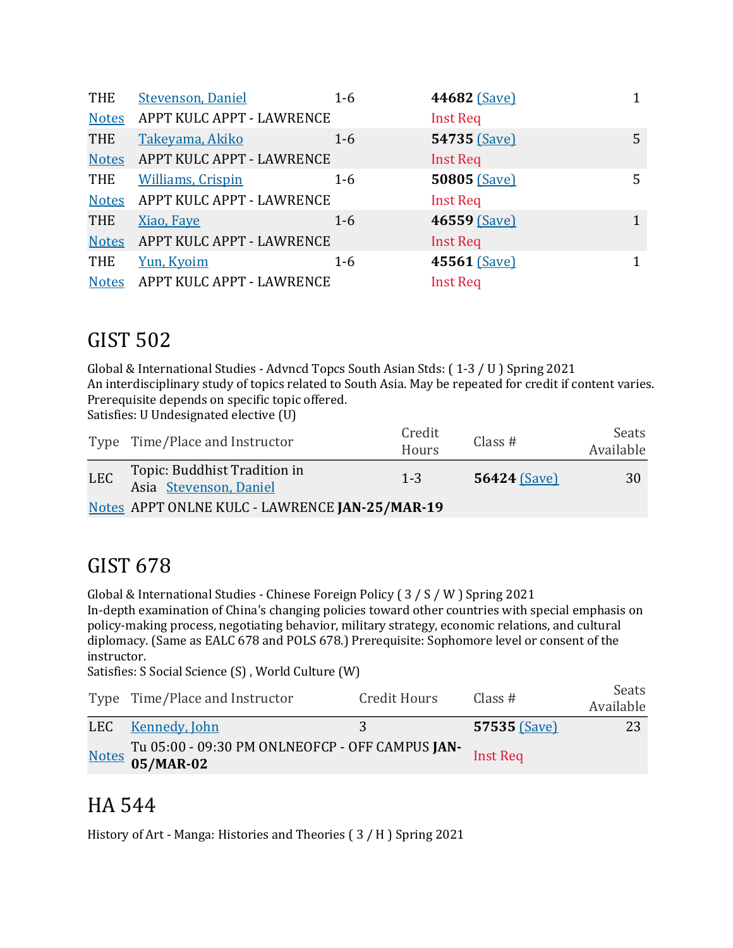| THE          | <b>Stevenson, Daniel</b>  | $1-6$   | 44682 (Save)    |   |
|--------------|---------------------------|---------|-----------------|---|
| <b>Notes</b> | APPT KULC APPT - LAWRENCE |         | <b>Inst Req</b> |   |
| <b>THE</b>   | Takeyama, Akiko           | $1 - 6$ | 54735 (Save)    | 5 |
| <b>Notes</b> | APPT KULC APPT - LAWRENCE |         | <b>Inst Req</b> |   |
| THE          | <b>Williams, Crispin</b>  | $1 - 6$ | 50805 (Save)    | 5 |
| <b>Notes</b> | APPT KULC APPT - LAWRENCE |         | <b>Inst Req</b> |   |
| <b>THE</b>   | Xiao, Faye                | $1 - 6$ | 46559 (Save)    | 1 |
| <b>Notes</b> | APPT KULC APPT - LAWRENCE |         | <b>Inst Req</b> |   |
| <b>THE</b>   | Yun, Kyoim                | $1 - 6$ | 45561 (Save)    |   |
| <b>Notes</b> | APPT KULC APPT - LAWRENCE |         | <b>Inst Req</b> |   |

## GIST 502

Global & International Studies - Advncd Topcs South Asian Stds: (1-3 / U ) Spring 2021 An interdisciplinary study of topics related to South Asia. May be repeated for credit if content varies. Prerequisite depends on specific topic offered.

Satisfies: U Undesignated elective (U)

|            | Type Time/Place and Instructor                         | Credit<br>Hours | Class $#$           | Seats<br>Available |
|------------|--------------------------------------------------------|-----------------|---------------------|--------------------|
| <b>LEC</b> | Topic: Buddhist Tradition in<br>Asia Stevenson, Daniel | $1 - 3$         | <b>56424 (Save)</b> | 30                 |
|            | Notes APPT ONLNE KULC - LAWRENCE JAN-25/MAR-19         |                 |                     |                    |

### GIST 678

Global & International Studies - Chinese Foreign Policy ( $3 / S / W$ ) Spring 2021 In-depth examination of China's changing policies toward other countries with special emphasis on policy-making process, negotiating behavior, military strategy, economic relations, and cultural diplomacy. (Same as EALC 678 and POLS 678.) Prerequisite: Sophomore level or consent of the instructor.

Satisfies: S Social Science (S), World Culture (W)

| Type Time/Place and Instructor                                     | Credit Hours | Class $#$    | Seats<br>Available |
|--------------------------------------------------------------------|--------------|--------------|--------------------|
| LEC Kennedy, John                                                  | $\sim$ 3     | 57535 (Save) | 23                 |
| Notes Tu 05:00 - 09:30 PM ONLNEOFCP - OFF CAMPUS JAN-<br>05/MAR-02 |              |              |                    |

## HA 544

History of Art - Manga: Histories and Theories  $(3/H)$  Spring 2021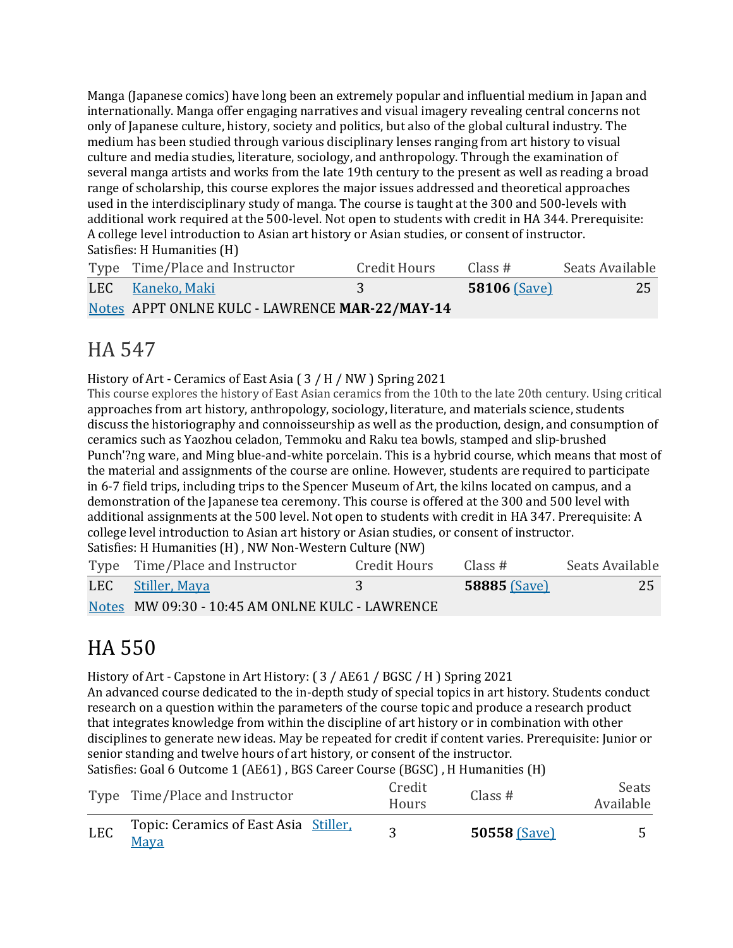Manga (Japanese comics) have long been an extremely popular and influential medium in Japan and internationally. Manga offer engaging narratives and visual imagery revealing central concerns not only of Japanese culture, history, society and politics, but also of the global cultural industry. The medium has been studied through various disciplinary lenses ranging from art history to visual culture and media studies, literature, sociology, and anthropology. Through the examination of several manga artists and works from the late 19th century to the present as well as reading a broad range of scholarship, this course explores the major issues addressed and theoretical approaches used in the interdisciplinary study of manga. The course is taught at the 300 and 500-levels with additional work required at the 500-level. Not open to students with credit in HA 344. Prerequisite: A college level introduction to Asian art history or Asian studies, or consent of instructor. Satisfies: H Humanities (H)

| Type Time/Place and Instructor                 | Credit Hours | Class #          | Seats Available |
|------------------------------------------------|--------------|------------------|-----------------|
| LEC Kaneko, Maki                               |              | $58106$ $(Save)$ | 25              |
| Notes APPT ONLNE KULC - LAWRENCE MAR-22/MAY-14 |              |                  |                 |

## HA 547

History of Art - Ceramics of East Asia  $(3 / H / NW)$  Spring 2021

This course explores the history of East Asian ceramics from the 10th to the late 20th century. Using critical approaches from art history, anthropology, sociology, literature, and materials science, students discuss the historiography and connoisseurship as well as the production, design, and consumption of ceramics such as Yaozhou celadon, Temmoku and Raku tea bowls, stamped and slip-brushed Punch'?ng ware, and Ming blue-and-white porcelain. This is a hybrid course, which means that most of the material and assignments of the course are online. However, students are required to participate in 6-7 field trips, including trips to the Spencer Museum of Art, the kilns located on campus, and a demonstration of the Japanese tea ceremony. This course is offered at the 300 and 500 level with additional assignments at the 500 level. Not open to students with credit in HA 347. Prerequisite: A college level introduction to Asian art history or Asian studies, or consent of instructor. Satisfies: H Humanities (H), NW Non-Western Culture (NW)

| Type Time/Place and Instructor                  | Credit Hours | Class #             | Seats Available |
|-------------------------------------------------|--------------|---------------------|-----------------|
| LEC Stiller, Maya                               |              | <b>58885</b> (Save) | 25              |
| Notes MW 09:30 - 10:45 AM ONLNE KULC - LAWRENCE |              |                     |                 |

# HA 550

History of Art - Capstone in Art History: ( $3$  / AE61 / BGSC / H ) Spring 2021 An advanced course dedicated to the in-depth study of special topics in art history. Students conduct research on a question within the parameters of the course topic and produce a research product that integrates knowledge from within the discipline of art history or in combination with other disciplines to generate new ideas. May be repeated for credit if content varies. Prerequisite: Junior or senior standing and twelve hours of art history, or consent of the instructor.

Satisfies: Goal 6 Outcome 1 (AE61), BGS Career Course (BGSC), H Humanities (H)

| <b>LEC</b> | Topic: Ceramics of East Asia Stiller,<br>Maya |                        | <b>50558 (Save)</b> |                    |
|------------|-----------------------------------------------|------------------------|---------------------|--------------------|
|            | Type Time/Place and Instructor                | Credit<br><b>Hours</b> | Class $#$           | Seats<br>Available |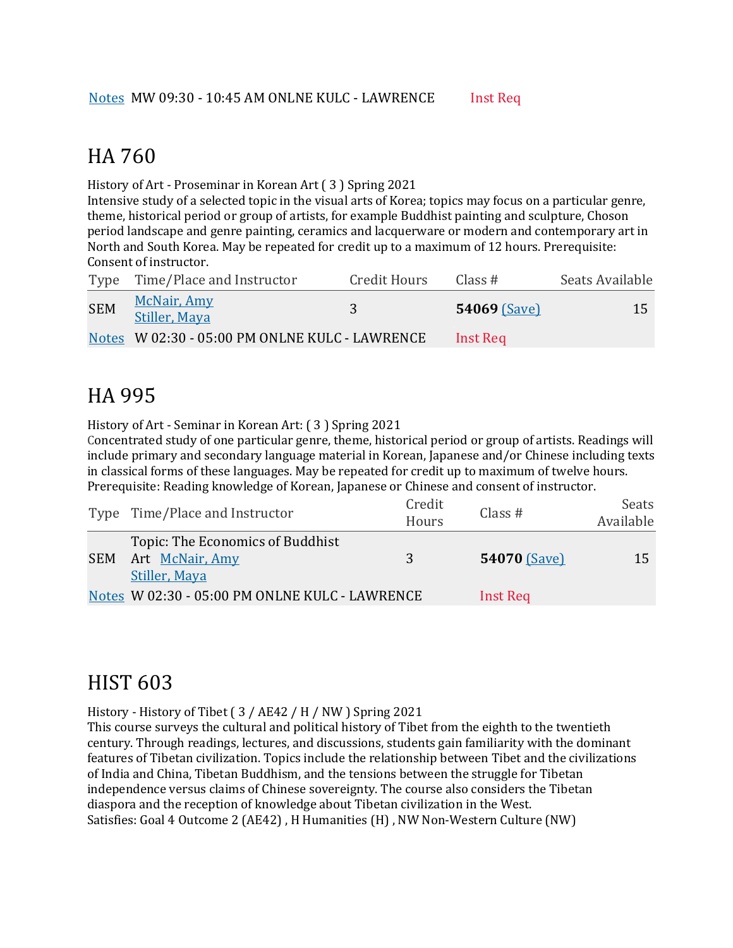#### HA 760

History of Art - Proseminar in Korean Art (3) Spring 2021

Intensive study of a selected topic in the visual arts of Korea; topics may focus on a particular genre, theme, historical period or group of artists, for example Buddhist painting and sculpture, Choson period landscape and genre painting, ceramics and lacquerware or modern and contemporary art in North and South Korea. May be repeated for credit up to a maximum of 12 hours. Prerequisite: Consent of instructor.

|            | Type Time/Place and Instructor                 | Credit Hours | Class #             | Seats Available |
|------------|------------------------------------------------|--------------|---------------------|-----------------|
| <b>SEM</b> | McNair, Amy<br>Stiller, Maya                   |              | <b>54069 (Save)</b> | 15              |
|            | Notes W 02:30 - 05:00 PM ONLNE KULC - LAWRENCE |              | Inst Req            |                 |

## HA 995

History of Art - Seminar in Korean Art: (3) Spring 2021

Concentrated study of one particular genre, theme, historical period or group of artists. Readings will include primary and secondary language material in Korean, Japanese and/or Chinese including texts in classical forms of these languages. May be repeated for credit up to maximum of twelve hours. Prerequisite: Reading knowledge of Korean, Japanese or Chinese and consent of instructor.

|            | Type Time/Place and Instructor                                       | Credit<br>Hours | Class $#$           | Seats<br>Available |
|------------|----------------------------------------------------------------------|-----------------|---------------------|--------------------|
| <b>SEM</b> | Topic: The Economics of Buddhist<br>Art McNair, Amy<br>Stiller, Maya | 3               | <b>54070 (Save)</b> | 15                 |
|            | Notes W 02:30 - 05:00 PM ONLNE KULC - LAWRENCE                       |                 | Inst Req            |                    |

#### **HIST 603**

History - History of Tibet  $(3 / AE42 / H / NW)$  Spring 2021

This course surveys the cultural and political history of Tibet from the eighth to the twentieth century. Through readings, lectures, and discussions, students gain familiarity with the dominant features of Tibetan civilization. Topics include the relationship between Tibet and the civilizations of India and China, Tibetan Buddhism, and the tensions between the struggle for Tibetan independence versus claims of Chinese sovereignty. The course also considers the Tibetan diaspora and the reception of knowledge about Tibetan civilization in the West. Satisfies: Goal 4 Outcome 2 (AE42), H Humanities (H), NW Non-Western Culture (NW)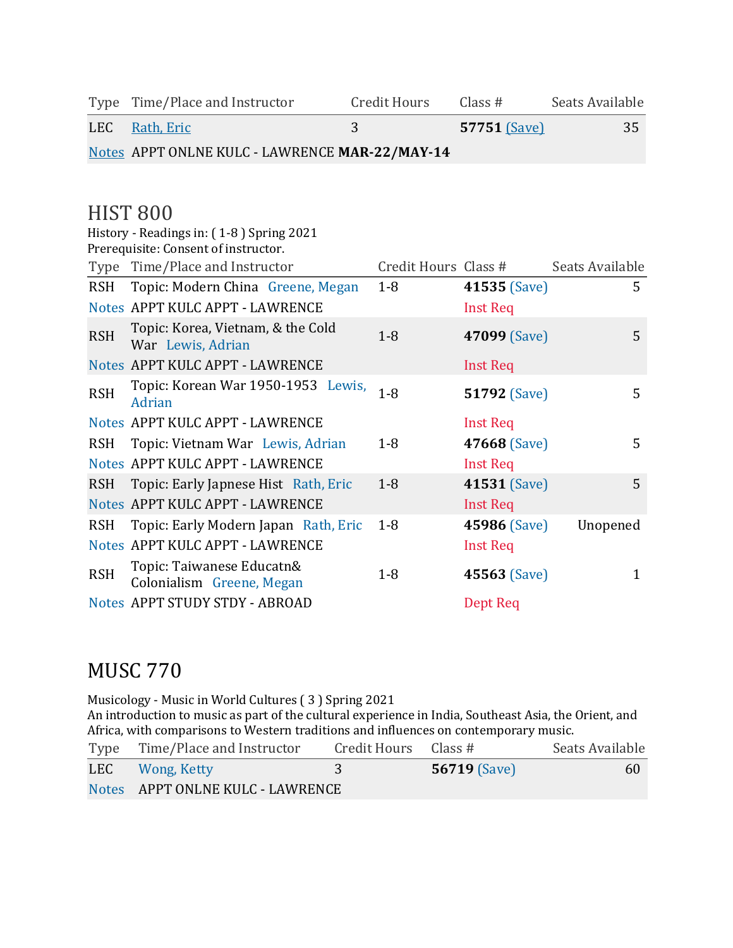Type Time/Place and Instructor Credit Hours Class # Seats Available LEC <u>Rath, Eric</u> 3 57751 (Save) 35

Notes APPT ONLNE KULC - LAWRENCE **MAR-22/MAY-14**

### **HIST 800**

|            | History - Readings in: (1-8) Spring 2021               |                      |                     |                 |
|------------|--------------------------------------------------------|----------------------|---------------------|-----------------|
|            | Prerequisite: Consent of instructor.                   |                      |                     |                 |
|            | Type Time/Place and Instructor                         | Credit Hours Class # |                     | Seats Available |
| RSH        | Topic: Modern China Greene, Megan                      | $1 - 8$              | 41535 (Save)        | 5               |
|            | Notes APPT KULC APPT - LAWRENCE                        |                      | <b>Inst Req</b>     |                 |
| <b>RSH</b> | Topic: Korea, Vietnam, & the Cold<br>War Lewis, Adrian | $1-8$                | 47099 (Save)        | 5               |
|            | Notes APPT KULC APPT - LAWRENCE                        |                      | <b>Inst Req</b>     |                 |
| <b>RSH</b> | Topic: Korean War 1950-1953 Lewis,<br>Adrian           | $1 - 8$              | <b>51792 (Save)</b> | 5               |
|            | Notes APPT KULC APPT - LAWRENCE                        |                      | <b>Inst Req</b>     |                 |
| <b>RSH</b> | Topic: Vietnam War Lewis, Adrian                       | $1 - 8$              | 47668 (Save)        | 5               |
|            | Notes APPT KULC APPT - LAWRENCE                        |                      | <b>Inst Req</b>     |                 |
| <b>RSH</b> | Topic: Early Japnese Hist Rath, Eric                   | $1 - 8$              | 41531 (Save)        | 5               |
|            | Notes APPT KULC APPT - LAWRENCE                        |                      | <b>Inst Req</b>     |                 |
| <b>RSH</b> | Topic: Early Modern Japan Rath, Eric                   | $1 - 8$              | <b>45986 (Save)</b> | Unopened        |
|            | Notes APPT KULC APPT - LAWRENCE                        |                      | <b>Inst Req</b>     |                 |
| <b>RSH</b> | Topic: Taiwanese Educatn&<br>Colonialism Greene, Megan | $1 - 8$              | 45563 (Save)        | 1               |
|            | Notes APPT STUDY STDY - ABROAD                         |                      | Dept Req            |                 |

#### **MUSC 770**

Musicology - Music in World Cultures (3) Spring 2021 An introduction to music as part of the cultural experience in India, Southeast Asia, the Orient, and Africa, with comparisons to Western traditions and influences on contemporary music.

| Type Time/Place and Instructor   | Credit Hours Class $#$ |                     | Seats Available |
|----------------------------------|------------------------|---------------------|-----------------|
| LEC Wong, Ketty                  |                        | <b>56719 (Save)</b> | 60              |
| Notes APPT ONLNE KULC - LAWRENCE |                        |                     |                 |